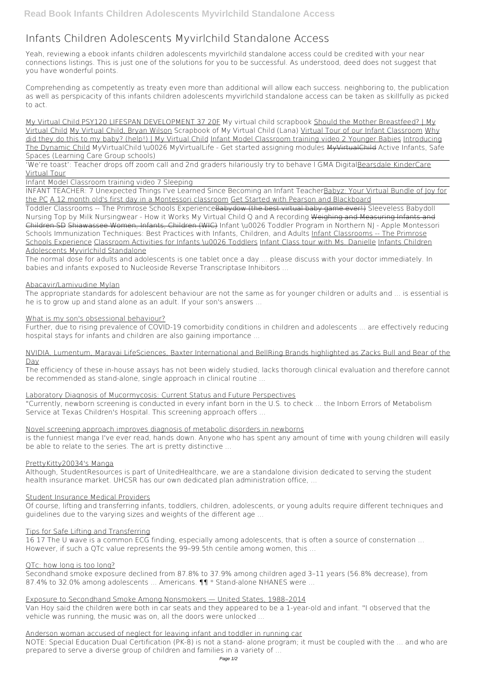# **Infants Children Adolescents Myvirlchild Standalone Access**

Yeah, reviewing a ebook **infants children adolescents myvirlchild standalone access** could be credited with your near connections listings. This is just one of the solutions for you to be successful. As understood, deed does not suggest that you have wonderful points.

Comprehending as competently as treaty even more than additional will allow each success. neighboring to, the publication as well as perspicacity of this infants children adolescents myvirlchild standalone access can be taken as skillfully as picked to act.

My Virtual Child PSY120 LIFESPAN DEVELOPMENT 37 20F *My virtual child scrapbook* Should the Mother Breastfeed? | My Virtual Child My Virtual Child, Bryan Wilson **Scrapbook of My Virtual Child (Lana)** Virtual Tour of our Infant Classroom Why did they do this to my baby? (help!) | My Virtual Child Infant Model Classroom training video 2 Younger Babies Introducing The Dynamic Child *MyVirtualChild \u0026 MyVirtualLife - Get started assigning modules* MyVirtualChild **Active Infants, Safe Spaces (Learning Care Group schools)**

'We're toast': Teacher drops off zoom call and 2nd graders hilariously try to behave l GMA DigitalBearsdale KinderCare Virtual Tour

Infant Model Classroom training video 7 Sleeping

#### NVIDIA, Lumentum, Maravai LifeSciences, Baxter International and BellRing Brands highlighted as Zacks Bull and Bear of the Dav

INFANT TEACHER: 7 Unexpected Things I've Learned Since Becoming an Infant TeacherBabyz: Your Virtual Bundle of Joy for the PC A 12 month old's first day in a Montessori classroom Get Started with Pearson and Blackboard

Toddler Classrooms -- The Primrose Schools ExperienceBabydow (the best virtual baby game ever!) **Sleeveless Babydoll Nursing Top by Milk Nursingwear - How it Works** *My Virtual Child Q and A recording* Weighing and Measuring Infants and Children SD Shiawassee Women, Infants, Children (WIC) *Infant \u0026 Toddler Program in Northern NJ - Apple Montessori Schools* **Immunization Techniques: Best Practices with Infants, Children, and Adults** Infant Classrooms -- The Primrose Schools Experience Classroom Activities for Infants \u0026 Toddlers Infant Class tour with Ms. Danielle Infants Children Adolescents Myvirlchild Standalone

Secondhand smoke exposure declined from 87.8% to 37.9% among children aged 3–11 years (56.8% decrease), from 87.4% to 32.0% among adolescents ... Americans.  $\P\P$ <sup>\*</sup> Stand-alone NHANES were ...

The normal dose for adults and adolescents is one tablet once a day ... please discuss with your doctor immediately. In babies and infants exposed to Nucleoside Reverse Transcriptase Inhibitors ...

## Abacavir/Lamivudine Mylan

The appropriate standards for adolescent behaviour are not the same as for younger children or adults and ... is essential is he is to grow up and stand alone as an adult. If your son's answers ...

#### What is my son's obsessional behaviour?

Further, due to rising prevalence of COVID-19 comorbidity conditions in children and adolescents ... are effectively reducing hospital stays for infants and children are also gaining importance ...

The efficiency of these in-house assays has not been widely studied, lacks thorough clinical evaluation and therefore cannot be recommended as stand-alone, single approach in clinical routine ...

#### Laboratory Diagnosis of Mucormycosis: Current Status and Future Perspectives

"Currently, newborn screening is conducted in every infant born in the U.S. to check ... the Inborn Errors of Metabolism Service at Texas Children's Hospital. This screening approach offers ...

#### Novel screening approach improves diagnosis of metabolic disorders in newborns

is the funniest manga I've ever read, hands down. Anyone who has spent any amount of time with young children will easily be able to relate to the series. The art is pretty distinctive ...

#### PrettyKitty20034's Manga

Although, StudentResources is part of UnitedHealthcare, we are a standalone division dedicated to serving the student health insurance market. UHCSR has our own dedicated plan administration office, ...

#### Student Insurance Medical Providers

Of course, lifting and transferring infants, toddlers, children, adolescents, or young adults require different techniques and

guidelines due to the varying sizes and weights of the different age ...

#### Tips for Safe Lifting and Transferring

16 17 The U wave is a common ECG finding, especially among adolescents, that is often a source of consternation ... However, if such a QTc value represents the 99–99.5th centile among women, this ...

## QTc: how long is too long?

Exposure to Secondhand Smoke Among Nonsmokers — United States, 1988–2014 Van Hoy said the children were both in car seats and they appeared to be a 1-year-old and infant. "I observed that the vehicle was running, the music was on, all the doors were unlocked ...

Anderson woman accused of neglect for leaving infant and toddler in running car NOTE: Special Education Dual Certification (PK-8) is not a stand- alone program; it must be coupled with the ... and who are prepared to serve a diverse group of children and families in a variety of ...